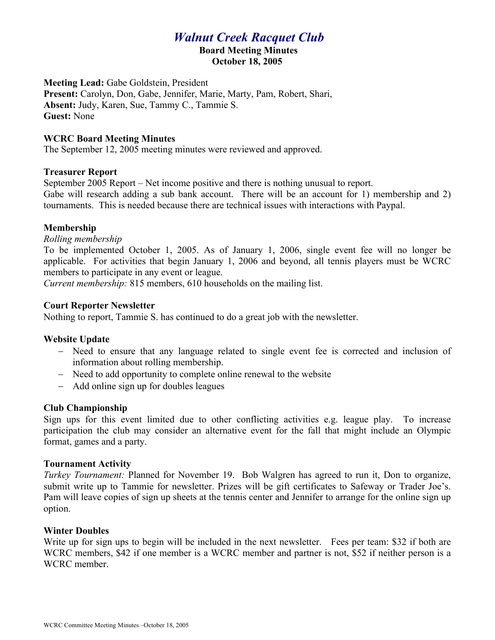# *Walnut Creek Racquet Club*

#### **Board Meeting Minutes October 18, 2005**

**Meeting Lead:** Gabe Goldstein, President **Present:** Carolyn, Don, Gabe, Jennifer, Marie, Marty, Pam, Robert, Shari, **Absent:** Judy, Karen, Sue, Tammy C., Tammie S. **Guest:** None

### **WCRC Board Meeting Minutes**

The September 12, 2005 meeting minutes were reviewed and approved.

# **Treasurer Report**

September 2005 Report – Net income positive and there is nothing unusual to report. Gabe will research adding a sub bank account. There will be an account for 1) membership and 2) tournaments. This is needed because there are technical issues with interactions with Paypal.

# **Membership**

*Rolling membership*

To be implemented October 1, 2005. As of January 1, 2006, single event fee will no longer be applicable. For activities that begin January 1, 2006 and beyond, all tennis players must be WCRC members to participate in any event or league.

*Current membership:* 815 members, 610 households on the mailing list.

### **Court Reporter Newsletter**

Nothing to report, Tammie S. has continued to do a great job with the newsletter.

### **Website Update**

- Need to ensure that any language related to single event fee is corrected and inclusion of information about rolling membership.
- Need to add opportunity to complete online renewal to the website
- Add online sign up for doubles leagues

### **Club Championship**

Sign ups for this event limited due to other conflicting activities e.g. league play. To increase participation the club may consider an alternative event for the fall that might include an Olympic format, games and a party.

### **Tournament Activity**

*Turkey Tournament:* Planned for November 19. Bob Walgren has agreed to run it, Don to organize, submit write up to Tammie for newsletter. Prizes will be gift certificates to Safeway or Trader Joe's. Pam will leave copies of sign up sheets at the tennis center and Jennifer to arrange for the online sign up option.

### **Winter Doubles**

Write up for sign ups to begin will be included in the next newsletter. Fees per team: \$32 if both are WCRC members, \$42 if one member is a WCRC member and partner is not, \$52 if neither person is a WCRC member.